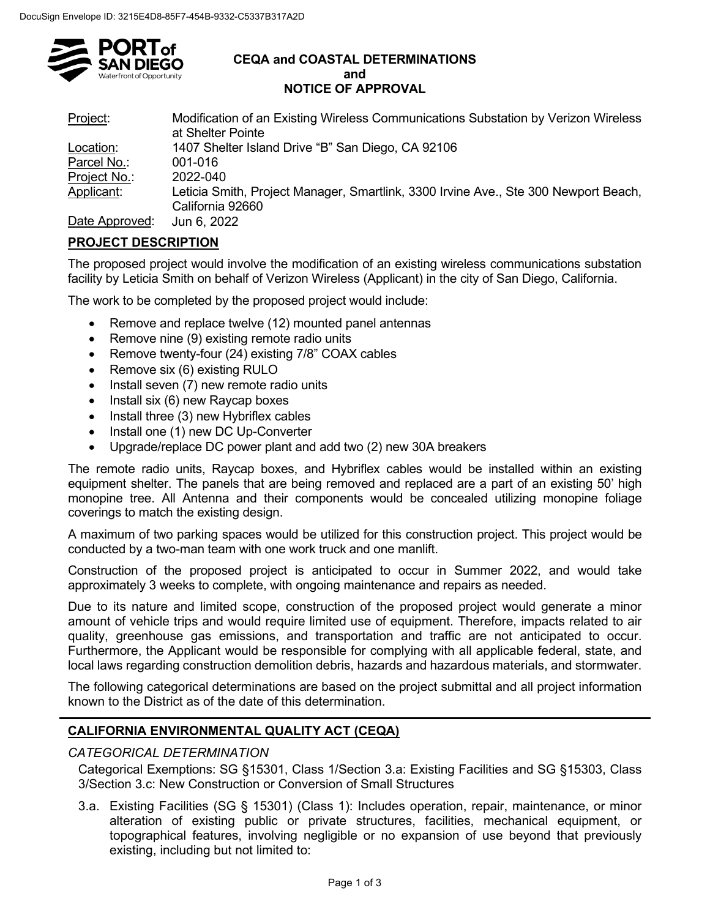

#### **CEQA and COASTAL DETERMINATIONS and NOTICE OF APPROVAL**

| Project:       | Modification of an Existing Wireless Communications Substation by Verizon Wireless<br>at Shelter Pointe |
|----------------|---------------------------------------------------------------------------------------------------------|
| Location:      | 1407 Shelter Island Drive "B" San Diego, CA 92106                                                       |
| Parcel No.:    | 001-016                                                                                                 |
| Project No.:   | 2022-040                                                                                                |
| Applicant:     | Leticia Smith, Project Manager, Smartlink, 3300 Irvine Ave., Ste 300 Newport Beach,                     |
|                | California 92660                                                                                        |
| Date Approved: | $\ln n \approx 2022$                                                                                    |

Date Approved: Jun 6, 2022

# **PROJECT DESCRIPTION**

The proposed project would involve the modification of an existing wireless communications substation facility by Leticia Smith on behalf of Verizon Wireless (Applicant) in the city of San Diego, California.

The work to be completed by the proposed project would include:

- Remove and replace twelve (12) mounted panel antennas
- Remove nine (9) existing remote radio units
- Remove twenty-four (24) existing 7/8" COAX cables
- Remove six (6) existing RULO
- Install seven (7) new remote radio units
- Install six (6) new Raycap boxes
- Install three (3) new Hybriflex cables
- Install one (1) new DC Up-Converter
- Upgrade/replace DC power plant and add two (2) new 30A breakers

The remote radio units, Raycap boxes, and Hybriflex cables would be installed within an existing equipment shelter. The panels that are being removed and replaced are a part of an existing 50' high monopine tree. All Antenna and their components would be concealed utilizing monopine foliage coverings to match the existing design.

A maximum of two parking spaces would be utilized for this construction project. This project would be conducted by a two-man team with one work truck and one manlift.

Construction of the proposed project is anticipated to occur in Summer 2022, and would take approximately 3 weeks to complete, with ongoing maintenance and repairs as needed.

Due to its nature and limited scope, construction of the proposed project would generate a minor amount of vehicle trips and would require limited use of equipment. Therefore, impacts related to air quality, greenhouse gas emissions, and transportation and traffic are not anticipated to occur. Furthermore, the Applicant would be responsible for complying with all applicable federal, state, and local laws regarding construction demolition debris, hazards and hazardous materials, and stormwater.

The following categorical determinations are based on the project submittal and all project information known to the District as of the date of this determination.

# **CALIFORNIA ENVIRONMENTAL QUALITY ACT (CEQA)**

### *CATEGORICAL DETERMINATION*

Categorical Exemptions: SG §15301, Class 1/Section 3.a: Existing Facilities and SG §15303, Class 3/Section 3.c: New Construction or Conversion of Small Structures

3.a. Existing Facilities (SG § 15301) (Class 1): Includes operation, repair, maintenance, or minor alteration of existing public or private structures, facilities, mechanical equipment, or topographical features, involving negligible or no expansion of use beyond that previously existing, including but not limited to: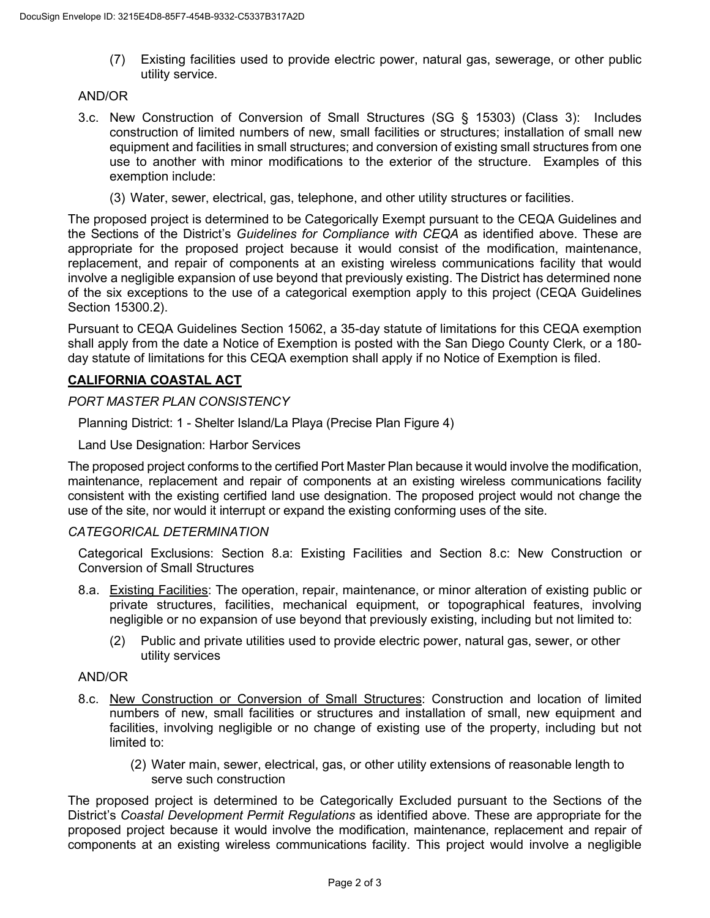(7) Existing facilities used to provide electric power, natural gas, sewerage, or other public utility service.

# AND/OR

- 3.c. New Construction of Conversion of Small Structures (SG § 15303) (Class 3): Includes construction of limited numbers of new, small facilities or structures; installation of small new equipment and facilities in small structures; and conversion of existing small structures from one use to another with minor modifications to the exterior of the structure. Examples of this exemption include:
	- (3) Water, sewer, electrical, gas, telephone, and other utility structures or facilities.

The proposed project is determined to be Categorically Exempt pursuant to the CEQA Guidelines and the Sections of the District's *Guidelines for Compliance with CEQA* as identified above. These are appropriate for the proposed project because it would consist of the modification, maintenance, replacement, and repair of components at an existing wireless communications facility that would involve a negligible expansion of use beyond that previously existing. The District has determined none of the six exceptions to the use of a categorical exemption apply to this project (CEQA Guidelines Section 15300.2).

Pursuant to CEQA Guidelines Section 15062, a 35-day statute of limitations for this CEQA exemption shall apply from the date a Notice of Exemption is posted with the San Diego County Clerk, or a 180 day statute of limitations for this CEQA exemption shall apply if no Notice of Exemption is filed.

### **CALIFORNIA COASTAL ACT**

### *PORT MASTER PLAN CONSISTENCY*

Planning District: 1 - Shelter Island/La Playa (Precise Plan Figure 4)

Land Use Designation: Harbor Services

The proposed project conforms to the certified Port Master Plan because it would involve the modification, maintenance, replacement and repair of components at an existing wireless communications facility consistent with the existing certified land use designation. The proposed project would not change the use of the site, nor would it interrupt or expand the existing conforming uses of the site.

### *CATEGORICAL DETERMINATION*

Categorical Exclusions: Section 8.a: Existing Facilities and Section 8.c: New Construction or Conversion of Small Structures

- 8.a. Existing Facilities: The operation, repair, maintenance, or minor alteration of existing public or private structures, facilities, mechanical equipment, or topographical features, involving negligible or no expansion of use beyond that previously existing, including but not limited to:
	- (2) Public and private utilities used to provide electric power, natural gas, sewer, or other utility services

### AND/OR

- 8.c. New Construction or Conversion of Small Structures: Construction and location of limited numbers of new, small facilities or structures and installation of small, new equipment and facilities, involving negligible or no change of existing use of the property, including but not limited to:
	- (2) Water main, sewer, electrical, gas, or other utility extensions of reasonable length to serve such construction

The proposed project is determined to be Categorically Excluded pursuant to the Sections of the District's *Coastal Development Permit Regulations* as identified above. These are appropriate for the proposed project because it would involve the modification, maintenance, replacement and repair of components at an existing wireless communications facility. This project would involve a negligible